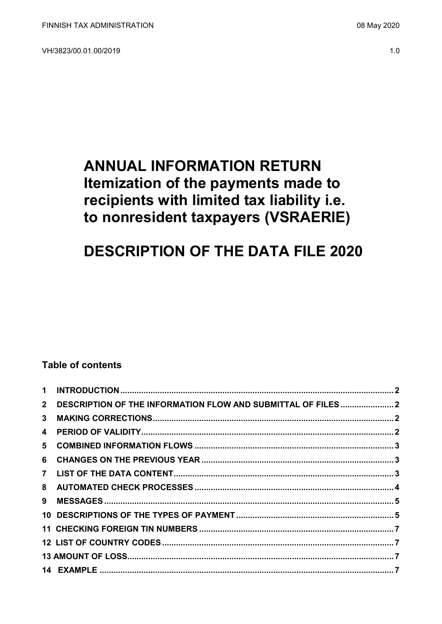VH/3823/00.01.00/2019

## **ANNUAL INFORMATION RETURN** Itemization of the payments made to recipients with limited tax liability i.e. to nonresident taxpayers (VSRAERIE)

# **DESCRIPTION OF THE DATA FILE 2020**

## **Table of contents**

|                | 2 DESCRIPTION OF THE INFORMATION FLOW AND SUBMITTAL OF FILES2 |  |
|----------------|---------------------------------------------------------------|--|
| 3 <sup>1</sup> |                                                               |  |
|                |                                                               |  |
|                |                                                               |  |
|                |                                                               |  |
|                |                                                               |  |
|                |                                                               |  |
| 9              |                                                               |  |
|                |                                                               |  |
|                |                                                               |  |
|                |                                                               |  |
|                |                                                               |  |
|                |                                                               |  |
|                |                                                               |  |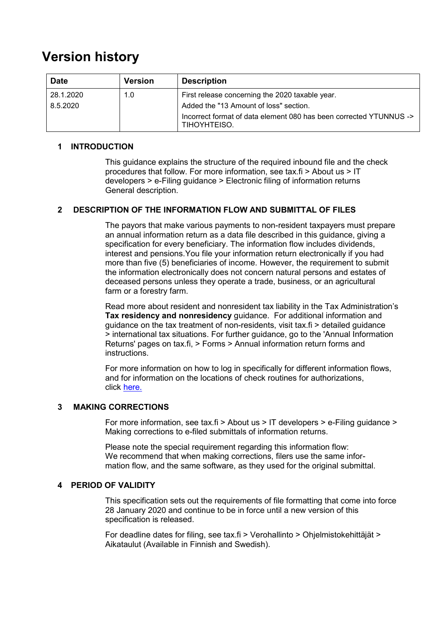## **Version history**

| <b>Date</b> | <b>Version</b> | <b>Description</b>                                                                 |
|-------------|----------------|------------------------------------------------------------------------------------|
| 28.1.2020   | 1.0            | First release concerning the 2020 taxable year.                                    |
| 8.5.2020    |                | Added the "13 Amount of loss" section.                                             |
|             |                | Incorrect format of data element 080 has been corrected YTUNNUS -><br>TIHOYHTEISO. |

## <span id="page-1-0"></span>**1 INTRODUCTION**

This guidance explains the structure of the required inbound file and the check procedures that follow. For more information, see tax.fi > About us > IT developers > e-Filing guidance > Electronic filing of information returns General description.

## <span id="page-1-1"></span>**2 DESCRIPTION OF THE INFORMATION FLOW AND SUBMITTAL OF FILES**

The payors that make various payments to non-resident taxpayers must prepare an annual information return as a data file described in this guidance, giving a specification for every beneficiary. The information flow includes dividends, interest and pensions.You file your information return electronically if you had more than five (5) beneficiaries of income. However, the requirement to submit the information electronically does not concern natural persons and estates of deceased persons unless they operate a trade, business, or an agricultural farm or a forestry farm.

Read more about resident and nonresident tax liability in the Tax Administration's **Tax residency and nonresidency** guidance. For additional information and guidance on the tax treatment of non-residents, visit tax.fi > detailed guidance > international tax situations. For further guidance, go to the 'Annual Information Returns' pages on tax.fi, > Forms > Annual information return forms and instructions.

For more information on how to log in specifically for different information flows, and for information on the locations of check routines for authorizations, click [here.](https://www.ilmoitin.fi/webtamo/sivut/IlmoituslajiRoolit?kieli=en&tv=VSRAERIE)

## <span id="page-1-2"></span>**3 MAKING CORRECTIONS**

For more information, see tax.fi > About us > IT developers > e-Filing guidance > Making corrections to e-filed submittals of information returns.

Please note the special requirement regarding this information flow: We recommend that when making corrections, filers use the same information flow, and the same software, as they used for the original submittal.

## <span id="page-1-3"></span>**4 PERIOD OF VALIDITY**

This specification sets out the requirements of file formatting that come into force 28 January 2020 and continue to be in force until a new version of this specification is released.

For deadline dates for filing, see tax.fi > Verohallinto > Ohjelmistokehittäjät > Aikataulut (Available in Finnish and Swedish).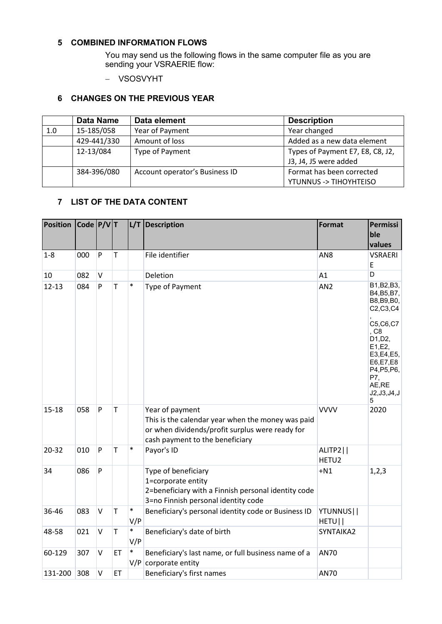## <span id="page-2-0"></span>**5 COMBINED INFORMATION FLOWS**

You may send us the following flows in the same computer file as you are sending your VSRAERIE flow:

- VSOSVYHT

## <span id="page-2-1"></span>**6 CHANGES ON THE PREVIOUS YEAR**

|     | <b>Data Name</b> | Data element                   | <b>Description</b>               |
|-----|------------------|--------------------------------|----------------------------------|
| 1.0 | 15-185/058       | Year of Payment                | Year changed                     |
|     | 429-441/330      | Amount of loss                 | Added as a new data element      |
|     | 12-13/084        | Type of Payment                | Types of Payment E7, E8, C8, J2, |
|     |                  |                                | J3, J4, J5 were added            |
|     | 384-396/080      | Account operator's Business ID | Format has been corrected        |
|     |                  |                                | YTUNNUS -> TIHOYHTEISO           |

## <span id="page-2-2"></span>**7 LIST OF THE DATA CONTENT**

| <b>Position</b> | $\vert$ Code $\vert$ P/V $\vert$ T |              |             |               | L/T Description                                                                                                                                            | <b>Format</b>                 | Permissi<br>ble<br>values                                                                                                                                                     |
|-----------------|------------------------------------|--------------|-------------|---------------|------------------------------------------------------------------------------------------------------------------------------------------------------------|-------------------------------|-------------------------------------------------------------------------------------------------------------------------------------------------------------------------------|
| $1 - 8$         | 000                                | $\mathsf{P}$ | T           |               | File identifier                                                                                                                                            | AN <sub>8</sub>               | <b>VSRAERI</b><br>E                                                                                                                                                           |
| 10              | 082                                | $\vee$       |             |               | Deletion                                                                                                                                                   | A1                            | D                                                                                                                                                                             |
| $12 - 13$       | 084                                | P            | $\mathsf T$ | $\ast$        | Type of Payment                                                                                                                                            | AN <sub>2</sub>               | B1, B2, B3,<br>B4, B5, B7,<br>B8, B9, B0,<br>C2, C3, C4<br>C5, C6, C7<br>, C8<br>D1, D2,<br>E1,E2,<br>E3, E4, E5,<br>E6,E7,E8<br>P4, P5, P6,<br>P7,<br>AE,RE<br>J2, J3, J4, J |
| $15 - 18$       | 058                                | ${\sf P}$    | T           |               | Year of payment<br>This is the calendar year when the money was paid<br>or when dividends/profit surplus were ready for<br>cash payment to the beneficiary | <b>VVVV</b>                   | 5<br>2020                                                                                                                                                                     |
| 20-32           | 010                                | P            | T           | $\ast$        | Payor's ID                                                                                                                                                 | ALITP2  <br>HETU <sub>2</sub> |                                                                                                                                                                               |
| 34              | 086                                | ${\sf P}$    |             |               | Type of beneficiary<br>1=corporate entity<br>2=beneficiary with a Finnish personal identity code<br>3=no Finnish personal identity code                    | $+N1$                         | 1,2,3                                                                                                                                                                         |
| 36-46           | 083                                | $\mathsf{V}$ | $\mathsf T$ | $\ast$<br>V/P | Beneficiary's personal identity code or Business ID                                                                                                        | YTUNNUS  <br>HETU             |                                                                                                                                                                               |
| 48-58           | 021                                | $\mathsf{V}$ | $\mathsf T$ | $\ast$<br>V/P | Beneficiary's date of birth                                                                                                                                | SYNTAIKA2                     |                                                                                                                                                                               |
| 60-129          | 307                                | $\mathsf{V}$ | ET          | $\ast$        | Beneficiary's last name, or full business name of a<br>$V/P$ corporate entity                                                                              | <b>AN70</b>                   |                                                                                                                                                                               |
| 131-200         | 308                                | $\mathsf{V}$ | ET          |               | Beneficiary's first names                                                                                                                                  | <b>AN70</b>                   |                                                                                                                                                                               |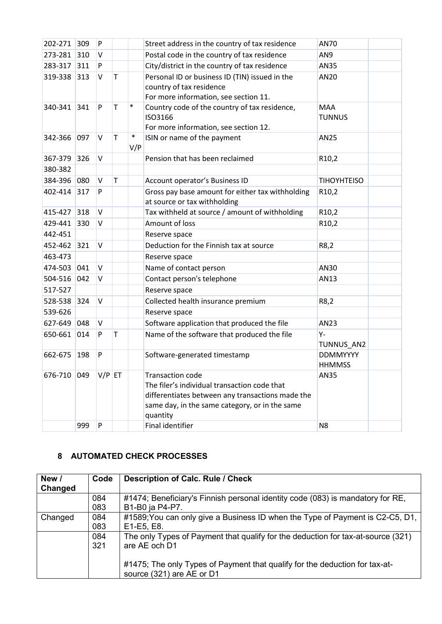| 202-271 309 |     | P         |              |               | Street address in the country of tax residence                                                                                                                                            | AN70                             |  |
|-------------|-----|-----------|--------------|---------------|-------------------------------------------------------------------------------------------------------------------------------------------------------------------------------------------|----------------------------------|--|
| 273-281 310 |     | V         |              |               | Postal code in the country of tax residence                                                                                                                                               | AN9                              |  |
| 283-317     | 311 | P         |              |               | City/district in the country of tax residence                                                                                                                                             | AN35                             |  |
| 319-338 313 |     | V         | $\mathsf{T}$ |               | Personal ID or business ID (TIN) issued in the<br>country of tax residence<br>For more information, see section 11.                                                                       | AN20                             |  |
| 340-341 341 |     | P         | T            | $\ast$        | Country code of the country of tax residence,<br>ISO3166<br>For more information, see section 12.                                                                                         | <b>MAA</b><br><b>TUNNUS</b>      |  |
| 342-366 097 |     | $\vee$    | T            | $\ast$<br>V/P | ISIN or name of the payment                                                                                                                                                               | AN25                             |  |
| 367-379 326 |     | V         |              |               | Pension that has been reclaimed                                                                                                                                                           | R <sub>10</sub> ,2               |  |
| 380-382     |     |           |              |               |                                                                                                                                                                                           |                                  |  |
| 384-396 080 |     | V         | T            |               | Account operator's Business ID                                                                                                                                                            | <b>TIHOYHTEISO</b>               |  |
| 402-414 317 |     | P         |              |               | Gross pay base amount for either tax withholding<br>at source or tax withholding                                                                                                          | R <sub>10</sub> ,2               |  |
| 415-427     | 318 | $\vee$    |              |               | Tax withheld at source / amount of withholding                                                                                                                                            | R <sub>10</sub> ,2               |  |
| 429-441     | 330 | V         |              |               | Amount of loss                                                                                                                                                                            | R <sub>10</sub> ,2               |  |
| 442-451     |     |           |              |               | Reserve space                                                                                                                                                                             |                                  |  |
| 452-462 321 |     | $\vee$    |              |               | Deduction for the Finnish tax at source                                                                                                                                                   | R8,2                             |  |
| 463-473     |     |           |              |               | Reserve space                                                                                                                                                                             |                                  |  |
| 474-503 041 |     | $\vee$    |              |               | Name of contact person                                                                                                                                                                    | AN30                             |  |
| 504-516 042 |     | V         |              |               | Contact person's telephone                                                                                                                                                                | AN13                             |  |
| 517-527     |     |           |              |               | Reserve space                                                                                                                                                                             |                                  |  |
| 528-538 324 |     | V         |              |               | Collected health insurance premium                                                                                                                                                        | R8,2                             |  |
| 539-626     |     |           |              |               | Reserve space                                                                                                                                                                             |                                  |  |
| 627-649 048 |     | V         |              |               | Software application that produced the file                                                                                                                                               | AN23                             |  |
| 650-661 014 |     | P         | $\mathsf{T}$ |               | Name of the software that produced the file                                                                                                                                               | Υ-<br>TUNNUS_AN2                 |  |
| 662-675     | 198 | P         |              |               | Software-generated timestamp                                                                                                                                                              | <b>DDMMYYYY</b><br><b>HHMMSS</b> |  |
| 676-710 049 |     | $V/P$ ET  |              |               | <b>Transaction code</b><br>The filer's individual transaction code that<br>differentiates between any transactions made the<br>same day, in the same category, or in the same<br>quantity | AN35                             |  |
|             | 999 | ${\sf P}$ |              |               | Final identifier                                                                                                                                                                          | N8                               |  |

## <span id="page-3-0"></span>**8 AUTOMATED CHECK PROCESSES**

| New /<br>Changed | Code | <b>Description of Calc. Rule / Check</b>                                                                 |
|------------------|------|----------------------------------------------------------------------------------------------------------|
|                  | 084  | #1474; Beneficiary's Finnish personal identity code (083) is mandatory for RE,                           |
|                  | 083  | B1-B0 ja P4-P7.                                                                                          |
| Changed          | 084  | #1589; You can only give a Business ID when the Type of Payment is C2-C5, D1,                            |
|                  | 083  | E1-E5, E8.                                                                                               |
|                  | 084  | The only Types of Payment that qualify for the deduction for tax-at-source (321)                         |
|                  | 321  | are AE och D1                                                                                            |
|                  |      | #1475; The only Types of Payment that qualify for the deduction for tax-at-<br>source (321) are AE or D1 |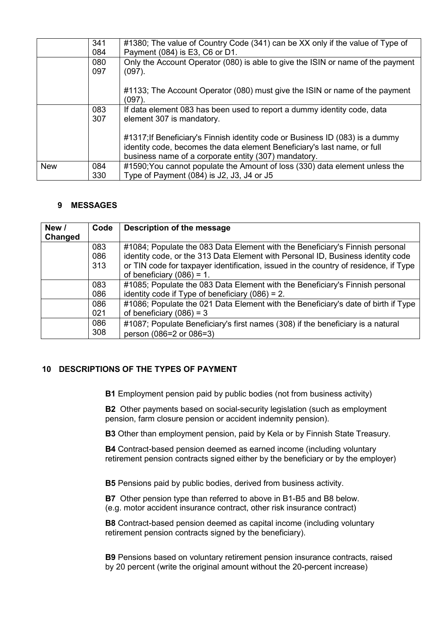|            | 341<br>084 | #1380; The value of Country Code (341) can be XX only if the value of Type of<br>Payment (084) is E3, C6 or D1.                                                                                                   |
|------------|------------|-------------------------------------------------------------------------------------------------------------------------------------------------------------------------------------------------------------------|
|            | 080<br>097 | Only the Account Operator (080) is able to give the ISIN or name of the payment<br>$(097)$ .                                                                                                                      |
|            |            | #1133; The Account Operator (080) must give the ISIN or name of the payment<br>$(097)$ .                                                                                                                          |
|            | 083<br>307 | If data element 083 has been used to report a dummy identity code, data<br>element 307 is mandatory.                                                                                                              |
|            |            | #1317; If Beneficiary's Finnish identity code or Business ID (083) is a dummy<br>identity code, becomes the data element Beneficiary's last name, or full<br>business name of a corporate entity (307) mandatory. |
| <b>New</b> | 084<br>330 | #1590; You cannot populate the Amount of loss (330) data element unless the<br>Type of Payment $(084)$ is J2, J3, J4 or J5                                                                                        |
|            |            |                                                                                                                                                                                                                   |

## <span id="page-4-0"></span>**9 MESSAGES**

| New /   | Code | Description of the message                                                           |
|---------|------|--------------------------------------------------------------------------------------|
| Changed |      |                                                                                      |
|         | 083  | #1084; Populate the 083 Data Element with the Beneficiary's Finnish personal         |
|         | 086  | identity code, or the 313 Data Element with Personal ID, Business identity code      |
|         | 313  | or TIN code for taxpayer identification, issued in the country of residence, if Type |
|         |      | of beneficiary $(086) = 1$ .                                                         |
|         | 083  | #1085; Populate the 083 Data Element with the Beneficiary's Finnish personal         |
|         | 086  | identity code if Type of beneficiary $(086) = 2$ .                                   |
|         | 086  | #1086; Populate the 021 Data Element with the Beneficiary's date of birth if Type    |
|         | 021  | of beneficiary $(086) = 3$                                                           |
|         | 086  | #1087; Populate Beneficiary's first names (308) if the beneficiary is a natural      |
|         | 308  | person (086=2 or 086=3)                                                              |

## <span id="page-4-1"></span>**10 DESCRIPTIONS OF THE TYPES OF PAYMENT**

**B1** Employment pension paid by public bodies (not from business activity)

**B2** Other payments based on social-security legislation (such as employment pension, farm closure pension or accident indemnity pension).

**B3** Other than employment pension, paid by Kela or by Finnish State Treasury.

**B4** Contract-based pension deemed as earned income (including voluntary retirement pension contracts signed either by the beneficiary or by the employer)

**B5** Pensions paid by public bodies, derived from business activity.

**B7** Other pension type than referred to above in B1-B5 and B8 below. (e.g. motor accident insurance contract, other risk insurance contract)

**B8** Contract-based pension deemed as capital income (including voluntary retirement pension contracts signed by the beneficiary).

**B9** Pensions based on voluntary retirement pension insurance contracts, raised by 20 percent (write the original amount without the 20-percent increase)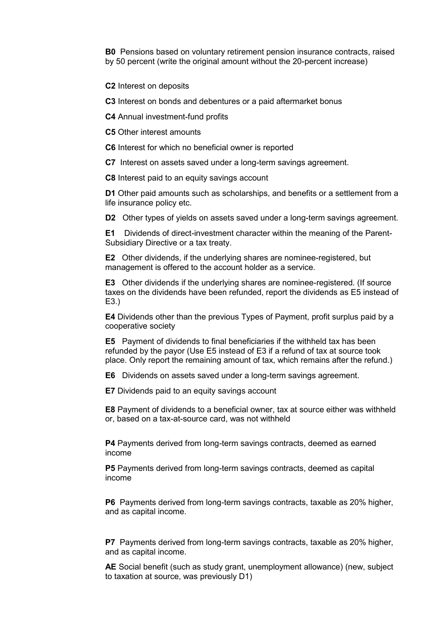**B0** Pensions based on voluntary retirement pension insurance contracts, raised by 50 percent (write the original amount without the 20-percent increase)

**C2** Interest on deposits

**C3** Interest on bonds and debentures or a paid aftermarket bonus

**C4** Annual investment-fund profits

**C5** Other interest amounts

**C6** Interest for which no beneficial owner is reported

**C7** Interest on assets saved under a long-term savings agreement.

**C8** Interest paid to an equity savings account

**D1** Other paid amounts such as scholarships, and benefits or a settlement from a life insurance policy etc.

**D2** Other types of yields on assets saved under a long-term savings agreement.

**E1** Dividends of direct-investment character within the meaning of the Parent-Subsidiary Directive or a tax treaty.

**E2** Other dividends, if the underlying shares are nominee-registered, but management is offered to the account holder as a service.

**E3** Other dividends if the underlying shares are nominee-registered. (If source taxes on the dividends have been refunded, report the dividends as E5 instead of E3.)

**E4** Dividends other than the previous Types of Payment, profit surplus paid by a cooperative society

**E5** Payment of dividends to final beneficiaries if the withheld tax has been refunded by the payor (Use E5 instead of E3 if a refund of tax at source took place. Only report the remaining amount of tax, which remains after the refund.)

**E6** Dividends on assets saved under a long-term savings agreement.

**E7** Dividends paid to an equity savings account

**E8** Payment of dividends to a beneficial owner, tax at source either was withheld or, based on a tax-at-source card, was not withheld

**P4** Payments derived from long-term savings contracts, deemed as earned income

**P5** Payments derived from long-term savings contracts, deemed as capital income

**P6** Payments derived from long-term savings contracts, taxable as 20% higher, and as capital income.

**P7** Payments derived from long-term savings contracts, taxable as 20% higher, and as capital income.

**AE** Social benefit (such as study grant, unemployment allowance) (new, subject to taxation at source, was previously D1)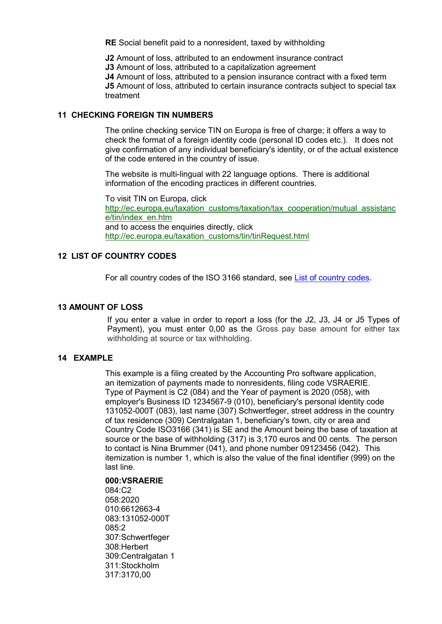**RE** Social benefit paid to a nonresident, taxed by withholding

**J2** Amount of loss, attributed to an endowment insurance contract

**J3** Amount of loss, attributed to a capitalization agreement

**J4** Amount of loss, attributed to a pension insurance contract with a fixed term

**J5** Amount of loss, attributed to certain insurance contracts subject to special tax treatment

## <span id="page-6-0"></span>**11 CHECKING FOREIGN TIN NUMBERS**

The online checking service TIN on Europa is free of charge; it offers a way to check the format of a foreign identity code (personal ID codes etc.). It does not give confirmation of any individual beneficiary's identity, or of the actual existence of the code entered in the country of issue.

The website is multi-lingual with 22 language options. There is additional information of the encoding practices in different countries.

To visit TIN on Europa, click http://ec.europa.eu/taxation\_customs/taxation/tax\_cooperation/mutual\_assistanc e/tin/index\_en.htm and to access the enquiries directly, click http://ec.europa.eu/taxation\_customs/tin/tinRequest.html

## <span id="page-6-1"></span>**12 LIST OF COUNTRY CODES**

For all country codes of the ISO 3166 standard, see [List of country codes.](https://www.ilmoitin.fi/webtamo/sivut/ExcelPohjat?5-1.ILinkListener-apuvalineet-maatunnuslistaus_linkki&kieli=en)

## <span id="page-6-2"></span>**13 AMOUNT OF LOSS**

If you enter a value in order to report a loss (for the J2, J3, J4 or J5 Types of Payment), you must enter 0,00 as the Gross pay base amount for either tax withholding at source or tax withholding.

## <span id="page-6-3"></span>**14 EXAMPLE**

This example is a filing created by the Accounting Pro software application, an itemization of payments made to nonresidents, filing code VSRAERIE. Type of Payment is C2 (084) and the Year of payment is 2020 (058), with employer's Business ID 1234567-9 (010), beneficiary's personal identity code 131052-000T (083), last name (307) Schwertfeger, street address in the country of tax residence (309) Centralgatan 1, beneficiary's town, city or area and Country Code ISO3166 (341) is SE and the Amount being the base of taxation at source or the base of withholding (317) is 3,170 euros and 00 cents. The person to contact is Nina Brummer (041), and phone number 09123456 (042). This itemization is number 1, which is also the value of the final identifier (999) on the last line.

## **000:VSRAERIE**

084:C2 058:2020 010:6612663-4 083:131052-000T 085:2 307:Schwertfeger 308:Herbert 309:Centralgatan 1 311:Stockholm 317:3170,00